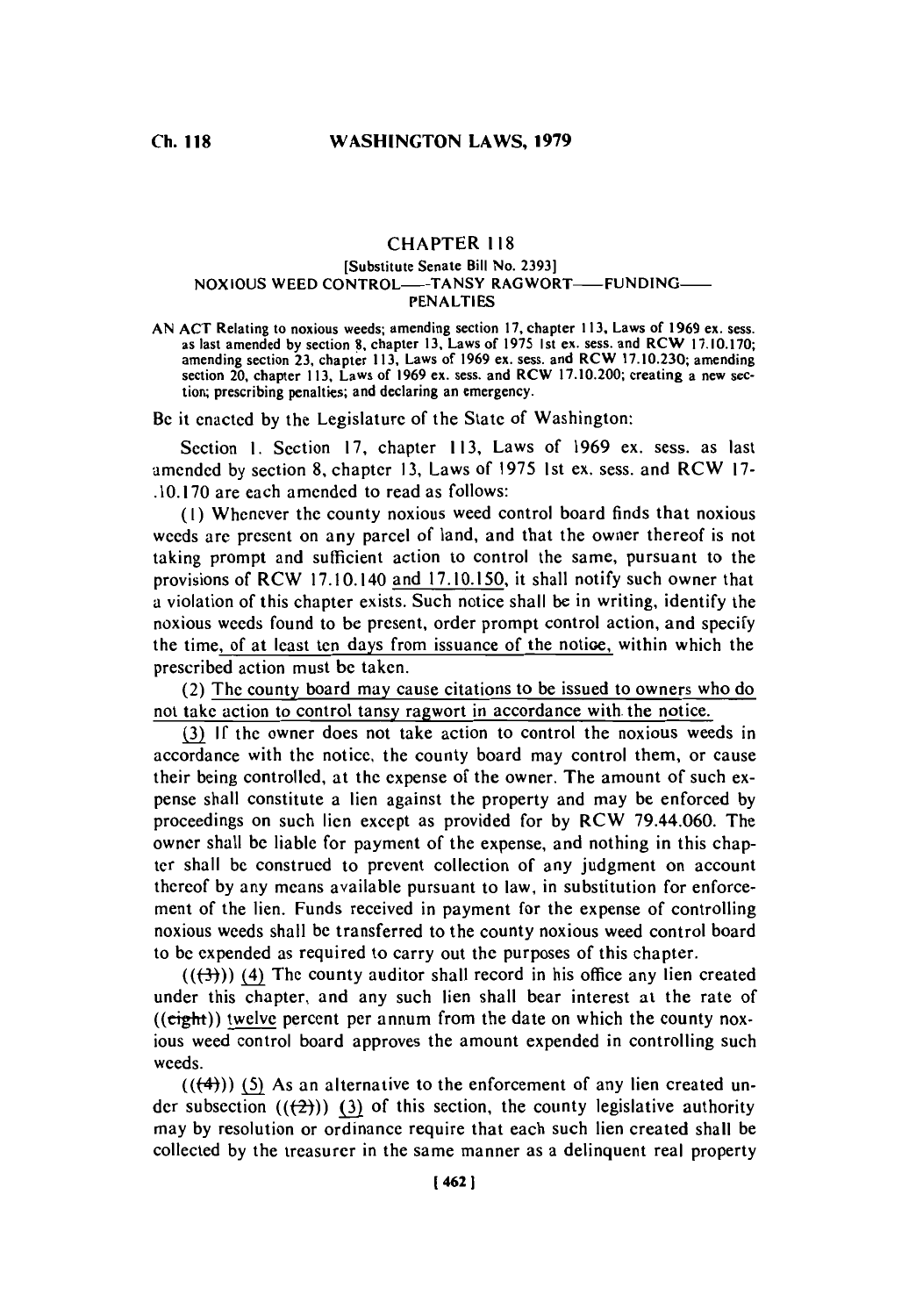# **CHAPTER 118**

### [Substitute Senate Bill No. **2393] NOXIOUS WEED CONTROL—TANSY RAGWORT—FUNDING PENALTIES**

**AN ACT** Relating to noxious weeds; amending section **17,** chapter **113.** Laws of **1969** ex. sess. as last amended **by** section **'8,** chapter **13,** Laws of **1975** Ist ex. sess. and RCW **17.10.170;** amending section **23,** chapter **113,** Laws of **1969** ex. sess. and **RCW 17.10.230;** amending section 20, chapter **113.** Laws of **1969** ex. sess. and RCW **17.10.200;** creating a new sec tion; prescribing penalties; and declaring an emergency.

Be it enacted **by** the Legislature of the State of Washington:

Section 1. Section 17, chapter 113, Laws of 1969 ex. sess. as last amended **by** section **8,** chapter **13,** Laws of **1975** 1st ex. sess. and RCW **17- .10. 170** are each amended to read as follows:

**(I)** Whenever the county noxious weed control board finds that noxious weeds are present on any parcel of land, and that the owner thereof is not taking prompt and sufficient action to control the same, pursuant to the provisions of RCW 17.10.140 and **17.10.150,** it shall notify such owner that a violation of this chapter exists. Such notice shall be in writing, identify the noxious weeds found to be present, order prompt control action, and specify the time, of at least ten days from issuance of the notioe, within which the prescribed action must be taken.

(2) The county board may cause citations to be issued to owners who do not take action to control tansy ragwort in accordance with. the notice.

**(3 If** the owner does not take action to control the noxious weeds in accordance with the notice, the county board may control them, or cause their being controlled, at the expense of the owner. The amount of such expense shall constitute a lien against the property and may be enforced **by** proceedings on such lien except as provided for **by** RCW 79.44.060. The owner shall **be** liable for payment of the expense, and nothing in this chapter shall be construed to prevent collection of any judgment on account thereof **by** any means available pursuant to law, in substitution for enforcement of the lien. Funds received in payment for the expense of controlling noxious weeds shall **be** transferred to the county noxious weed control board to be expended as required to carry out the purposes of this chapter.

 $((\left(\frac{1}{2}\right))$  (4) The county auditor shall record in his office any lien created under this chapter, and any such lien shall bear interest at the rate of  $((\text{eight}))$  twelve percent per annum from the date on which the county noxious weed control board approves the amount expended in controlling such weeds.

 $((+4))$  (5) As an alternative to the enforcement of any lien created under subsection  $((2))$  (3) of this section, the county legislative authority may **by** resolution or ordinance require that each such lien created shall be collected **by** the treasurer in the same manner as a delinquent real property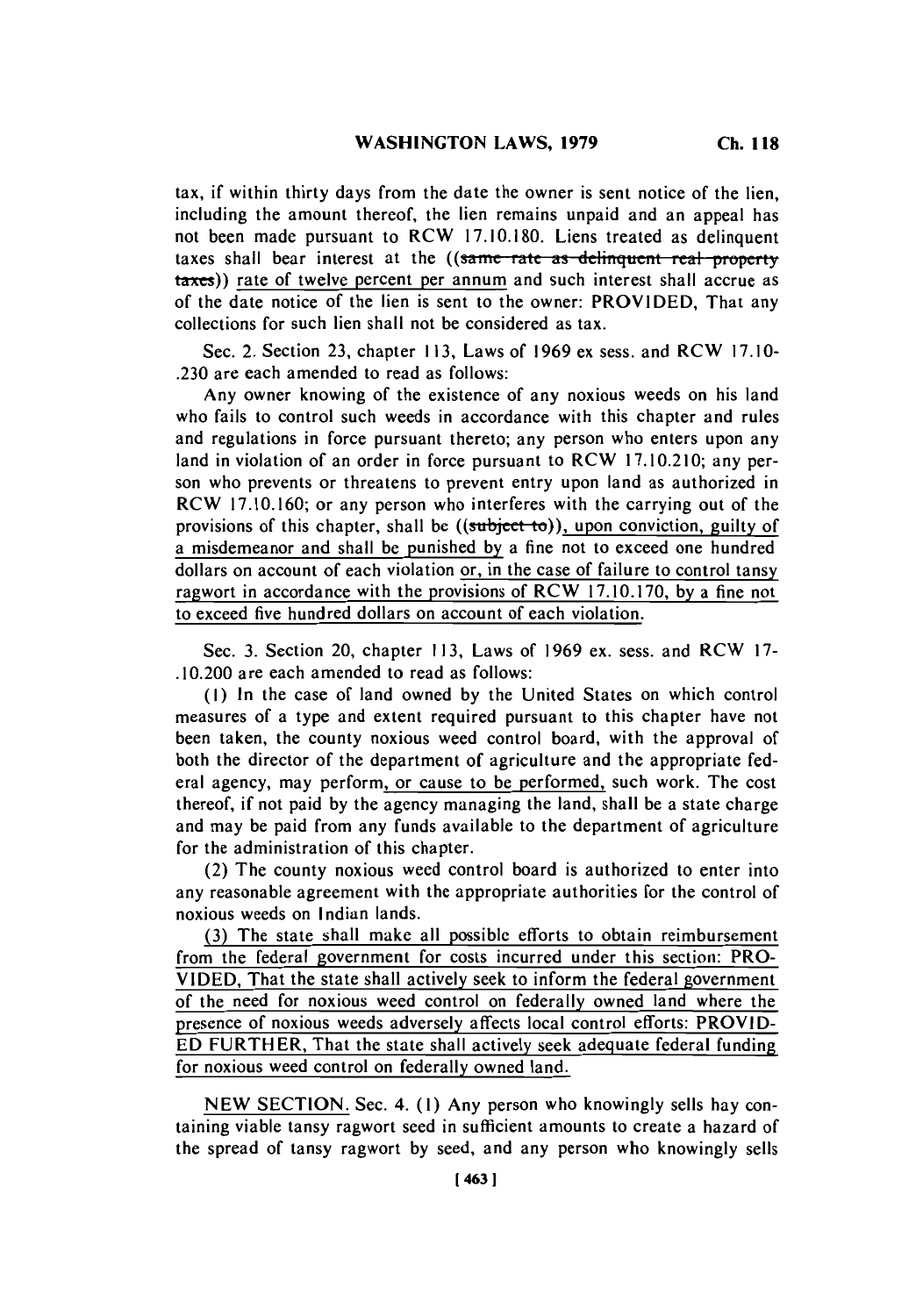tax, if within thirty days from the date the owner is sent notice of the lien, including the amount thereof, the lien remains unpaid and an appeal has not been made pursuant to RCW **17.10.180.** Liens treated as delinquent taxes shall bear interest at the ((same rate as delinquent real property taxes)) rate of twelve percent per annum and such interest shall accrue as of the date notice of the lien is sent to the owner: PROVIDED, That any collections for such lien shall not be considered as tax.

Sec. 2. Section **23,** chapter **113,** Laws of **1969** ex sess. and RCW **17. 10- .230** are each amended to read as follows:

Any owner knowing of the existence of any noxious weeds on his land who fails to control such weeds in accordance with this chapter and rules and regulations in force pursuant thereto; any person who enters upon any land in violation of an order in force pursuant to RCW **17.10.2 10;** any person who prevents or threatens to prevent entry upon land as authorized in RCW **17.10.160;** or any person who interferes with the carrying out of the provisions of this chapter, shall be ((subject to)), upon conviction, guilty of a misdemeanor and shall be punished **by** a fine not to exceed one hundred dollars on account of each violation or, in the case of failure to control tansy ragwort in accordance with the provisions of RCW **17.10.170, by** a fine not to exceed five hundred dollars on account of each violation.

Sec. **3.** Section 20, chapter **113,** Laws of **1969** ex. sess. and RCW **17-** .10.200 are each amended to read as follows:

**(1)** In the case of land owned **by** the United States on which control measures of a type and extent required pursuant to this chapter have not been taken, the county noxious weed control board, with the approval of both the director of the department of agriculture and the appropriate federal agency, may perform, or cause to be performed, such work. The cost thereof, if not paid **by** the agency managing the land, shall be a state charge and may be paid from any funds available to the department of agriculture for the administration of this chapter.

(2) The county noxious weed control board is authorized to enter into any reasonable agreement with the appropriate authorities for the control of noxious weeds on Indian lands.

**(3)** The state shall make all possible efforts to obtain reimbursement from the federal government for costs incurred under this section: PRO-**VIDED,** That the state shall actively seek to inform the federal government of the need for noxious weed control on federally owned land where the presence of noxious weeds adversely affects local control efforts: PROVID-**ED** FURTHER, That the state shall actively seek adequate federal funding\_ for noxious weed control on federally owned land.

**NEW SECTION.** Sec. 4. **(1)** Any person who knowingly sells hay containing viable tansy ragwort seed in sufficient amounts to create a hazard of the spread of tansy ragwort **by** seed, and any person who knowingly sells